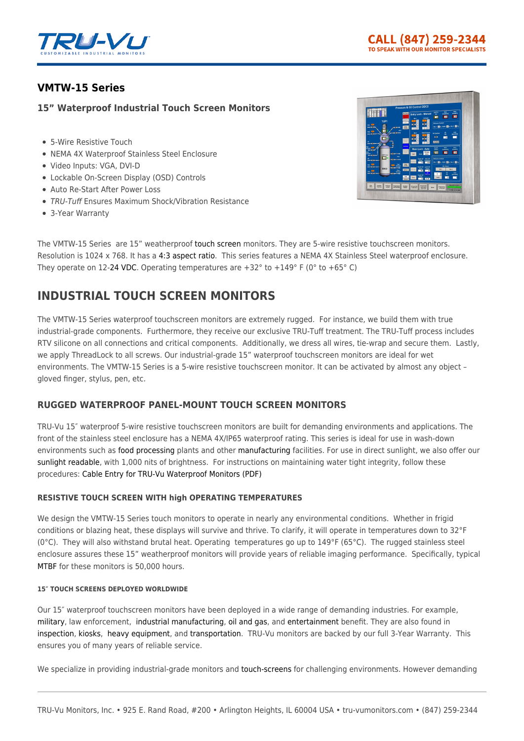

# **[VMTW-15 Series](https://tru-vumonitors.com/products/vmtw-15-series/)**

## **15" Waterproof Industrial Touch Screen Monitors**

- 5-Wire Resistive Touch
- NEMA 4X Waterproof Stainless Steel Enclosure
- Video Inputs: VGA, DVI-D
- Lockable On-Screen Display (OSD) Controls
- Auto Re-Start After Power Loss
- TRU-Tuff Ensures Maximum Shock/Vibration Resistance
- 3-Year Warranty



The VMTW-15 Series are 15" weatherproof [touch screen](https://tru-vumonitors.com/touch-screen-monitors/) monitors. They are 5-wire resistive touchscreen monitors. Resolution is 1024 x 768. It has a [4:3 aspect ratio](https://tru-vumonitors.com/4by3-monitors/). This series features a NEMA 4X Stainless Steel waterproof enclosure. They operate on 12-[24 VDC](https://tru-vumonitors.com/24vdc-monitors/). Operating temperatures are  $+32^{\circ}$  to  $+149^{\circ}$  F (0° to  $+65^{\circ}$  C)

# **INDUSTRIAL TOUCH SCREEN MONITORS**

The VMTW-15 Series waterproof touchscreen monitors are extremely rugged. For instance, we build them with true industrial-grade components. Furthermore, they receive our exclusive TRU-Tuff treatment. The TRU-Tuff process includes RTV silicone on all connections and critical components. Additionally, we dress all wires, tie-wrap and secure them. Lastly, we apply ThreadLock to all screws. Our industrial-grade 15" waterproof touchscreen monitors are ideal for wet environments. The VMTW-15 Series is a 5-wire resistive touchscreen monitor. It can be activated by almost any object – gloved finger, stylus, pen, etc.

## **RUGGED WATERPROOF PANEL-MOUNT TOUCH SCREEN MONITORS**

TRU-Vu 15″ waterproof 5-wire resistive touchscreen monitors are built for demanding environments and applications. The front of the stainless steel enclosure has a NEMA 4X/IP65 waterproof rating. This series is ideal for use in wash-down environments such as [food processing](https://tru-vumonitors.com/industries/food-beverage/) plants and other [manufacturing](https://tru-vumonitors.com/industries/industrial/) facilities. For use in direct sunlight, we also offer our [sunlight readable](https://tru-vumonitors.com/sunlight-readable-monitors/), with 1,000 nits of brightness. For instructions on maintaining water tight integrity, follow these procedures: [Cable Entry for TRU-Vu Waterproof Monitors \(PDF\)](https://16xfon1vsba94cids52k0kzh-wpengine.netdna-ssl.com/wp-content/uploads/2020/01/Cable_Entry_for_Waterproof_Monitors.pdf)

### **RESISTIVE TOUCH SCREEN WITH high OPERATING TEMPERATURES**

We design the VMTW-15 Series touch monitors to operate in nearly any environmental conditions. Whether in frigid conditions or blazing heat, these displays will survive and thrive. To clarify, it will operate in temperatures down to 32°F (0°C). They will also withstand brutal heat. Operating temperatures go up to 149°F (65°C). The rugged stainless steel enclosure assures these 15" weatherproof monitors will provide years of reliable imaging performance. Specifically, typical [MTBF](https://en.wikipedia.org/wiki/Mean_time_between_failures) for these monitors is 50,000 hours.

#### **15″ TOUCH SCREENS DEPLOYED WORLDWIDE**

Our 15″ waterproof touchscreen monitors have been deployed in a wide range of demanding industries. For example, [military](https://tru-vumonitors.com/industries/military/), law enforcement, [industrial manufacturing](https://tru-vumonitors.com/industries/industrial/), [oil and gas,](https://tru-vumonitors.com/industries/oil-gas/) and [entertainment](https://tru-vumonitors.com/industries/sports-stadiums/) benefit. They are also found in [inspection](https://tru-vumonitors.com/industries/automation-machine-vision/), [kiosks](https://tru-vumonitors.com/industries/kiosks-vending/), [heavy equipment](https://tru-vumonitors.com/industries/cranes-heavy-equipment/), and [transportation.](https://tru-vumonitors.com/industries/mass-transit/) TRU-Vu monitors are backed by our full 3-Year Warranty. This ensures you of many years of reliable service.

We specialize in providing industrial-grade monitors and [touch-screens](https://tru-vumonitors.com/touch-screen-monitors/) for challenging environments. However demanding